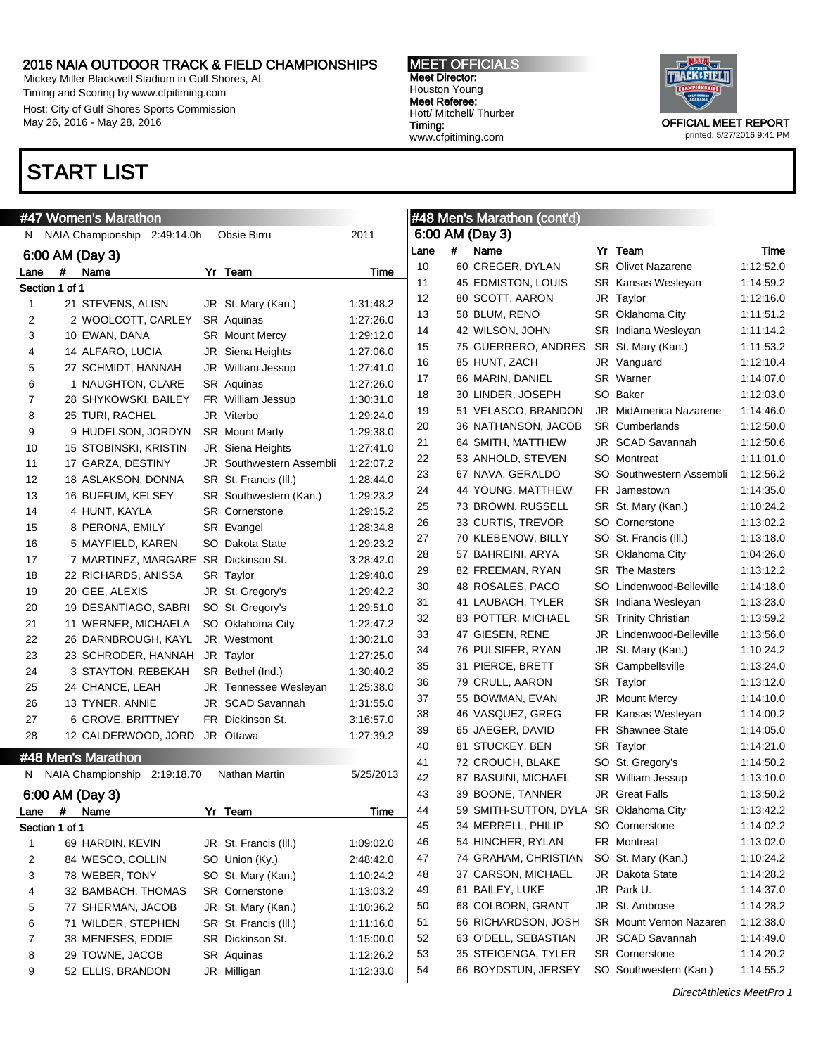Mickey Miller Blackwell Stadium in Gulf Shores, AL Timing and Scoring by www.cfpitiming.com Host: City of Gulf Shores Sports Commission May 26, 2016 - May 28, 2016

## START LIST

#### MEET OFFICIALS Meet Director: Houston Young Meet Referee: Hott/ Mitchell/ Thurber Timing: www.cfpitiming.com



printed: 5/27/2016 9:41 PM

|      |                | #47 Women's Marathon                 |                                 |           |      |   | #48 Men's Marathon (cont'd)            |                                |           |
|------|----------------|--------------------------------------|---------------------------------|-----------|------|---|----------------------------------------|--------------------------------|-----------|
|      |                | N NAIA Championship<br>2:49:14.0h    | Obsie Birru                     | 2011      |      |   | 6:00 AM (Day 3)                        |                                |           |
|      |                | 6:00 AM (Day 3)                      |                                 |           | Lane | # | Name                                   | Yr Team                        | Time      |
| Lane | #              | Name                                 | Yr Team                         | Time      | 10   |   | 60 CREGER, DYLAN                       | SR Olivet Nazarene             | 1:12:52.0 |
|      | Section 1 of 1 |                                      |                                 |           | 11   |   | 45 EDMISTON, LOUIS                     | <b>SR Kansas Wesleyan</b>      | 1:14:59.2 |
| 1    |                | 21 STEVENS, ALISN                    | JR St. Mary (Kan.)              | 1:31:48.2 | 12   |   | 80 SCOTT, AARON                        | JR Taylor                      | 1:12:16.0 |
| 2    |                | 2 WOOLCOTT, CARLEY                   | SR Aquinas                      | 1:27:26.0 | 13   |   | 58 BLUM, RENO                          | SR Oklahoma City               | 1:11:51.2 |
| 3    |                | 10 EWAN, DANA                        | <b>SR</b> Mount Mercy           | 1:29:12.0 | 14   |   | 42 WILSON, JOHN                        | SR Indiana Wesleyan            | 1:11:14.2 |
| 4    |                | 14 ALFARO, LUCIA                     | JR Siena Heights                | 1:27:06.0 | 15   |   | 75 GUERRERO, ANDRES                    | SR St. Mary (Kan.)             | 1:11:53.2 |
| 5    |                | 27 SCHMIDT, HANNAH                   | JR William Jessup               | 1:27:41.0 | 16   |   | 85 HUNT, ZACH                          | JR Vanguard                    | 1:12:10.4 |
| 6    |                | 1 NAUGHTON, CLARE                    | SR Aquinas                      | 1:27:26.0 | 17   |   | 86 MARIN, DANIEL                       | SR Warner                      | 1:14:07.0 |
| 7    |                | 28 SHYKOWSKI, BAILEY                 | FR William Jessup               | 1:30:31.0 | 18   |   | 30 LINDER, JOSEPH                      | SO Baker                       | 1:12:03.0 |
| 8    |                | 25 TURI, RACHEL                      | JR Viterbo                      | 1:29:24.0 | 19   |   | 51 VELASCO, BRANDON                    | <b>JR</b> MidAmerica Nazarene  | 1:14:46.0 |
| 9    |                | 9 HUDELSON, JORDYN                   | <b>SR</b> Mount Marty           | 1:29:38.0 | 20   |   | 36 NATHANSON, JACOB                    | <b>SR</b> Cumberlands          | 1:12:50.0 |
| 10   |                | 15 STOBINSKI, KRISTIN                | JR Siena Heights                | 1:27:41.0 | 21   |   | 64 SMITH, MATTHEW                      | JR SCAD Savannah               | 1:12:50.6 |
| 11   |                | 17 GARZA, DESTINY                    | <b>JR</b> Southwestern Assembli | 1:22:07.2 | 22   |   | 53 ANHOLD, STEVEN                      | SO Montreat                    | 1:11:01.0 |
| 12   |                | 18 ASLAKSON, DONNA                   | SR St. Francis (III.)           | 1:28:44.0 | 23   |   | 67 NAVA, GERALDO                       | SO Southwestern Assembli       | 1:12:56.2 |
| 13   |                | 16 BUFFUM, KELSEY                    | SR Southwestern (Kan.)          | 1:29:23.2 | 24   |   | 44 YOUNG, MATTHEW                      | FR Jamestown                   | 1:14:35.0 |
| 14   |                | 4 HUNT, KAYLA                        | <b>SR Cornerstone</b>           | 1:29:15.2 | 25   |   | 73 BROWN, RUSSELL                      | SR St. Mary (Kan.)             | 1:10:24.2 |
| 15   |                | 8 PERONA, EMILY                      | SR Evangel                      | 1:28:34.8 | 26   |   | 33 CURTIS, TREVOR                      | SO Cornerstone                 | 1:13:02.2 |
| 16   |                | 5 MAYFIELD, KAREN                    | SO Dakota State                 | 1:29:23.2 | 27   |   | 70 KLEBENOW, BILLY                     | SO St. Francis (III.)          | 1:13:18.0 |
| 17   |                | 7 MARTINEZ, MARGARE SR Dickinson St. |                                 | 3:28:42.0 | 28   |   | 57 BAHREINI, ARYA                      | SR Oklahoma City               | 1:04:26.0 |
| 18   |                | 22 RICHARDS, ANISSA                  | SR Taylor                       | 1:29:48.0 | 29   |   | 82 FREEMAN, RYAN                       | <b>SR</b> The Masters          | 1:13:12.2 |
| 19   |                | 20 GEE, ALEXIS                       | JR St. Gregory's                | 1:29:42.2 | 30   |   | 48 ROSALES, PACO                       | SO Lindenwood-Belleville       | 1:14:18.0 |
| 20   |                | 19 DESANTIAGO, SABRI                 | SO St. Gregory's                | 1:29:51.0 | 31   |   | 41 LAUBACH, TYLER                      | <b>SR</b> Indiana Wesleyan     | 1:13:23.0 |
| 21   |                | 11 WERNER, MICHAELA                  | SO Oklahoma City                | 1:22:47.2 | 32   |   | 83 POTTER, MICHAEL                     | <b>SR</b> Trinity Christian    | 1:13:59.2 |
| 22   |                | 26 DARNBROUGH, KAYL                  | JR Westmont                     | 1:30:21.0 | 33   |   | 47 GIESEN, RENE                        | JR Lindenwood-Belleville       | 1:13:56.0 |
| 23   |                | 23 SCHRODER, HANNAH                  | JR Taylor                       | 1:27:25.0 | 34   |   | 76 PULSIFER, RYAN                      | JR St. Mary (Kan.)             | 1:10:24.2 |
| 24   |                | 3 STAYTON, REBEKAH                   | SR Bethel (Ind.)                | 1:30:40.2 | 35   |   | 31 PIERCE, BRETT                       | <b>SR</b> Campbellsville       | 1:13:24.0 |
| 25   |                | 24 CHANCE, LEAH                      | JR Tennessee Wesleyan           | 1:25:38.0 | 36   |   | 79 CRULL, AARON                        | SR Taylor                      | 1:13:12.0 |
| 26   |                | 13 TYNER, ANNIE                      | JR SCAD Savannah                | 1:31:55.0 | 37   |   | 55 BOWMAN, EVAN                        | <b>JR</b> Mount Mercy          | 1:14:10.0 |
| 27   |                | 6 GROVE, BRITTNEY                    | FR Dickinson St.                | 3:16:57.0 | 38   |   | 46 VASQUEZ, GREG                       | FR Kansas Wesleyan             | 1:14:00.2 |
| 28   |                | 12 CALDERWOOD, JORD                  | JR Ottawa                       | 1:27:39.2 | 39   |   | 65 JAEGER, DAVID                       | <b>FR</b> Shawnee State        | 1:14:05.0 |
|      |                |                                      |                                 |           | 40   |   | 81 STUCKEY, BEN                        | SR Taylor                      | 1:14:21.0 |
|      |                | #48 Men's Marathon                   |                                 |           | 41   |   | 72 CROUCH, BLAKE                       | SO St. Gregory's               | 1:14:50.2 |
|      |                | N NAIA Championship<br>2:19:18.70    | Nathan Martin                   | 5/25/2013 | 42   |   | 87 BASUINI, MICHAEL                    | SR William Jessup              | 1:13:10.0 |
|      |                | 6:00 AM (Day 3)                      |                                 |           | 43   |   | 39 BOONE, TANNER                       | JR Great Falls                 | 1:13:50.2 |
| Lane | #              | Name                                 | Yr Team                         | Time      | 44   |   | 59 SMITH-SUTTON, DYLA SR Oklahoma City |                                | 1:13:42.2 |
|      | Section 1 of 1 |                                      |                                 |           | 45   |   | 34 MERRELL, PHILIP                     | SO Cornerstone                 | 1:14:02.2 |
| 1    |                | 69 HARDIN, KEVIN                     | JR St. Francis (III.)           | 1:09:02.0 | 46   |   | 54 HINCHER, RYLAN                      | FR Montreat                    | 1:13:02.0 |
| 2    |                | 84 WESCO, COLLIN                     | SO Union (Ky.)                  | 2:48:42.0 | 47   |   | 74 GRAHAM, CHRISTIAN                   | SO St. Mary (Kan.)             | 1:10:24.2 |
| 3    |                | 78 WEBER, TONY                       | SO St. Mary (Kan.)              | 1:10:24.2 | 48   |   | 37 CARSON, MICHAEL                     | JR Dakota State                | 1:14:28.2 |
| 4    |                | 32 BAMBACH, THOMAS                   | <b>SR</b> Cornerstone           | 1:13:03.2 | 49   |   | 61 BAILEY, LUKE                        | JR Park U.                     | 1:14:37.0 |
| 5    |                | 77 SHERMAN, JACOB                    | JR St. Mary (Kan.)              | 1:10:36.2 | 50   |   | 68 COLBORN, GRANT                      | JR St. Ambrose                 | 1:14:28.2 |
| 6    |                | 71 WILDER, STEPHEN                   | SR St. Francis (III.)           | 1:11:16.0 | 51   |   | 56 RICHARDSON, JOSH                    | <b>SR</b> Mount Vernon Nazaren | 1:12:38.0 |
| 7    |                | 38 MENESES, EDDIE                    | SR Dickinson St.                | 1:15:00.0 | 52   |   | 63 O'DELL, SEBASTIAN                   | JR SCAD Savannah               | 1:14:49.0 |
| 8    |                | 29 TOWNE, JACOB                      | SR Aquinas                      | 1:12:26.2 | 53   |   | 35 STEIGENGA, TYLER                    | SR Cornerstone                 | 1:14:20.2 |
| 9    |                | 52 ELLIS, BRANDON                    | JR Milligan                     | 1:12:33.0 | 54   |   | 66 BOYDSTUN, JERSEY                    | SO Southwestern (Kan.)         | 1:14:55.2 |
|      |                |                                      |                                 |           |      |   |                                        |                                |           |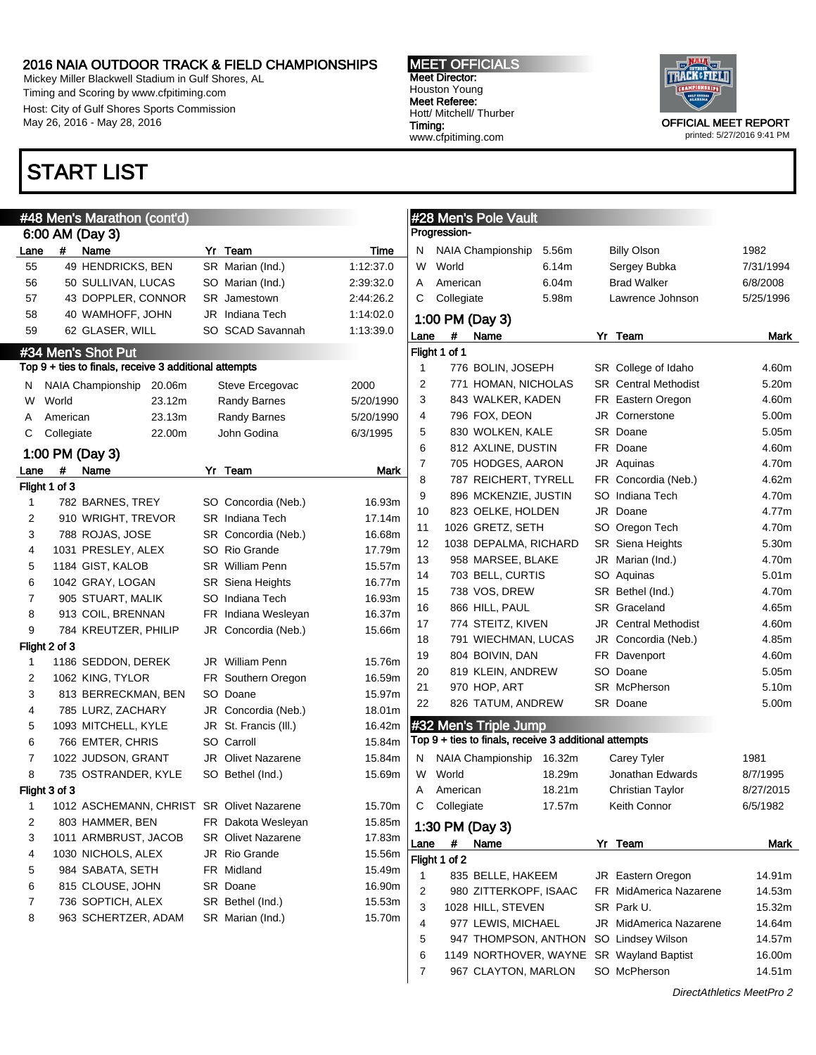Mickey Miller Blackwell Stadium in Gulf Shores, AL Timing and Scoring by www.cfpitiming.com Host: City of Gulf Shores Sports Commission May 26, 2016 - May 28, 2016

## START LIST

Flight 1 of 3

Flight 2 of 3

Flight 3 of 3

#### MEET OFFICIALS Meet Director: Houston Young Meet Referee: Hott/ Mitchell/ Thurber Timing: www.cfpitiming.com



printed: 5/27/2016 9:41 PM

|              | #48 Men's Marathon (cont'd)<br>6:00 AM (Day 3)                              |                           |             | #28 Men's Pole Vault<br>Progression-                                           |                   |
|--------------|-----------------------------------------------------------------------------|---------------------------|-------------|--------------------------------------------------------------------------------|-------------------|
| .ane         | #<br>Name                                                                   | Yr Team                   | Time        | <b>NAIA Championship</b><br>5.56m<br><b>Billy Olson</b><br>N.                  | 1982              |
| 55           | 49 HENDRICKS, BEN                                                           | SR Marian (Ind.)          | 1:12:37.0   | W<br>World<br>Sergey Bubka<br>6.14m                                            | 7/31/1994         |
| 56           | 50 SULLIVAN, LUCAS                                                          | SO Marian (Ind.)          | 2:39:32.0   | American<br>6.04m<br><b>Brad Walker</b><br>A                                   | 6/8/2008          |
| 57           | 43 DOPPLER, CONNOR                                                          | SR Jamestown              | 2:44:26.2   | Collegiate<br>5.98m<br>Lawrence Johnson<br>C                                   | 5/25/1996         |
| 58           | 40 WAMHOFF, JOHN                                                            | Indiana Tech<br>JR        | 1:14:02.0   |                                                                                |                   |
| 59           | 62 GLASER, WILL                                                             | SO SCAD Savannah          | 1:13:39.0   | 1:00 PM (Day 3)                                                                |                   |
|              |                                                                             |                           |             | #<br>Name<br>Yr Team<br>Lane<br>Flight 1 of 1                                  | Mark              |
|              | #34 Men's Shot Put<br>Fop 9 + ties to finals, receive 3 additional attempts |                           |             | 776 BOLIN, JOSEPH<br>1<br>SR College of Idaho                                  | 4.60m             |
| N.           | NAIA Championship 20.06m                                                    | Steve Ercegovac           | 2000        | 2<br><b>SR</b> Central Methodist<br>771 HOMAN, NICHOLAS                        | 5.20m             |
| W            | World<br>23.12m                                                             | <b>Randy Barnes</b>       | 5/20/1990   | 3<br>843 WALKER, KADEN<br>FR Eastern Oregon                                    | 4.60m             |
| Α            | 23.13m<br>American                                                          | <b>Randy Barnes</b>       | 5/20/1990   | 796 FOX, DEON<br>4<br>Cornerstone<br>JR.                                       | 5.00m             |
| С            | Collegiate<br>22.00m                                                        | John Godina               | 6/3/1995    | SR Doane<br>5<br>830 WOLKEN, KALE                                              | 5.05m             |
|              |                                                                             |                           |             | 6<br>812 AXLINE, DUSTIN<br>FR Doane                                            | 4.60m             |
|              | 1:00 PM (Day 3)                                                             |                           |             | 7<br>705 HODGES, AARON<br>JR Aquinas                                           | 4.70m             |
| .ane         | #<br>Name                                                                   | Yr Team                   | <b>Mark</b> | 8<br>787 REICHERT, TYRELL<br>FR Concordia (Neb.)                               | 4.62m             |
|              | light 1 of 3                                                                |                           |             | 9<br>896 MCKENZIE, JUSTIN<br>SO Indiana Tech                                   | 4.70m             |
| 1            | 782 BARNES, TREY                                                            | SO Concordia (Neb.)       | 16.93m      | 10<br>823 OELKE, HOLDEN<br>JR<br>Doane                                         | 4.77m             |
| 2            | 910 WRIGHT, TREVOR                                                          | SR Indiana Tech           | 17.14m      | 1026 GRETZ, SETH<br>11<br>SO Oregon Tech                                       | 4.70m             |
| 3            | 788 ROJAS, JOSE                                                             | SR Concordia (Neb.)       | 16.68m      | 12<br>1038 DEPALMA, RICHARD<br><b>SR</b> Siena Heights                         | 5.30m             |
| 4            | 1031 PRESLEY, ALEX                                                          | SO Rio Grande             | 17.79m      | 13<br>958 MARSEE, BLAKE<br>JR Marian (Ind.)                                    | 4.70m             |
| 5            | 1184 GIST, KALOB                                                            | <b>SR</b> William Penn    | 15.57m      | 703 BELL, CURTIS<br>14<br>SO Aquinas                                           | 5.01 <sub>m</sub> |
| 6            | 1042 GRAY, LOGAN                                                            | <b>SR</b> Siena Heights   | 16.77m      | 738 VOS, DREW<br>15<br>SR Bethel (Ind.)                                        | 4.70m             |
| 7            | 905 STUART, MALIK                                                           | SO Indiana Tech           | 16.93m      | 866 HILL, PAUL<br>SR Graceland<br>16                                           | 4.65m             |
| 8            | 913 COIL, BRENNAN                                                           | FR Indiana Wesleyan       | 16.37m      | 17<br>774 STEITZ, KIVEN<br><b>Central Methodist</b><br>JR                      | 4.60m             |
| 9            | 784 KREUTZER, PHILIP                                                        | JR Concordia (Neb.)       | 15.66m      | 18<br>791 WIECHMAN, LUCAS<br>JR Concordia (Neb.)                               | 4.85m             |
|              | ight 2 of 3                                                                 |                           |             | 19<br>804 BOIVIN, DAN<br>FR Davenport                                          | 4.60m             |
| $\mathbf{1}$ | 1186 SEDDON, DEREK                                                          | <b>JR</b> William Penn    | 15.76m      | 20<br>Doane<br>819 KLEIN, ANDREW<br>SO.                                        | 5.05m             |
| 2            | 1062 KING, TYLOR                                                            | FR Southern Oregon        | 16.59m      | SR McPherson<br>21<br>970 HOP, ART                                             | 5.10m             |
| 3            | 813 BERRECKMAN, BEN                                                         | SO Doane                  | 15.97m      | 22<br>826 TATUM, ANDREW<br>SR Doane                                            | 5.00m             |
| 4            | 785 LURZ, ZACHARY                                                           | JR Concordia (Neb.)       | 18.01m      |                                                                                |                   |
| 5            | 1093 MITCHELL, KYLE                                                         | St. Francis (III.)<br>JR  | 16.42m      | #32 Men's Triple Jump<br>Top 9 + ties to finals, receive 3 additional attempts |                   |
| 6            | 766 EMTER, CHRIS                                                            | SO Carroll                | 15.84m      |                                                                                |                   |
| 7            | 1022 JUDSON, GRANT                                                          | JR<br>Olivet Nazarene     | 15.84m      | NAIA Championship<br>16.32m<br>Carey Tyler<br>N.                               | 1981              |
| 8            | 735 OSTRANDER, KYLE                                                         | SO Bethel (Ind.)          | 15.69m      | World<br>18.29m<br>Jonathan Edwards<br>W                                       | 8/7/1995          |
|              | iight 3 of 3-                                                               |                           |             | 18.21m<br>American<br><b>Christian Taylor</b><br>A                             | 8/27/2015         |
| 1            | 1012 ASCHEMANN, CHRIST SR Olivet Nazarene                                   |                           | 15.70m      | C Collegiate<br>17.57m<br>Keith Connor                                         | 6/5/1982          |
| 2            | 803 HAMMER, BEN                                                             | FR Dakota Wesleyan        | 15.85m      | 1:30 PM (Day 3)                                                                |                   |
| 3            | 1011 ARMBRUST, JACOB                                                        | <b>SR</b> Olivet Nazarene | 17.83m      | #<br>Name<br>Yr Team<br>Lane                                                   | Mark              |
| 4            | 1030 NICHOLS, ALEX                                                          | JR Rio Grande             | 15.56m      | Flight 1 of 2                                                                  |                   |
| 5            | 984 SABATA, SETH                                                            | FR Midland                | 15.49m      | 1<br>835 BELLE, HAKEEM<br>JR Eastern Oregon                                    | 14.91m            |
| 6            | 815 CLOUSE, JOHN                                                            | SR Doane                  | 16.90m      | 980 ZITTERKOPF, ISAAC<br>FR MidAmerica Nazarene<br>2                           | 14.53m            |
| 7            | 736 SOPTICH, ALEX                                                           | SR Bethel (Ind.)          | 15.53m      | 3<br>1028 HILL, STEVEN<br>SR Park U.                                           | 15.32m            |
| 8            | 963 SCHERTZER, ADAM                                                         | SR Marian (Ind.)          | 15.70m      | JR MidAmerica Nazarene<br>4<br>977 LEWIS, MICHAEL                              | 14.64m            |
|              |                                                                             |                           |             | 5<br>SO Lindsey Wilson<br>947 THOMPSON, ANTHON                                 | 14.57m            |
|              |                                                                             |                           |             | 6<br>SR Wayland Baptist<br>1149 NORTHOVER, WAYNE                               | 16.00m            |
|              |                                                                             |                           |             | SO McPherson<br>7<br>967 CLAYTON, MARLON                                       | 14.51m            |

#### DirectAthletics MeetPro 2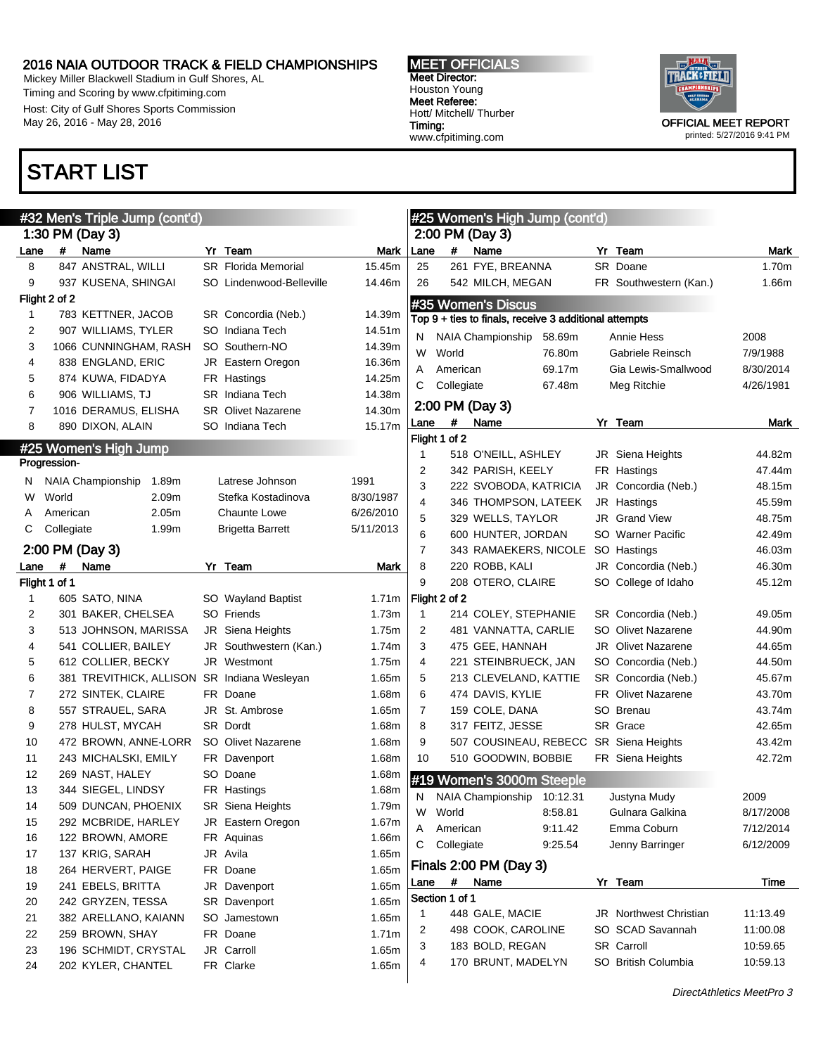Mickey Miller Blackwell Stadium in Gulf Shores, AL Timing and Scoring by www.cfpitiming.com Host: City of Gulf Shores Sports Commission May 26, 2016 - May 28, 2016

## START LIST

MEET OFFICIALS Meet Director: Houston Young Meet Referee: Hott/ Mitchell/ Thurber Timing: www.cfpitiming.com



printed: 5/27/2016 9:41 PM

|                |               | #32 Men's Triple Jump (cont'd) |                            |           |                |               |                | #25 Women's High Jump (cont'd)                                              |                               |           |
|----------------|---------------|--------------------------------|----------------------------|-----------|----------------|---------------|----------------|-----------------------------------------------------------------------------|-------------------------------|-----------|
|                |               | 1:30 PM (Day 3)                |                            |           |                |               |                | 2:00 PM (Day 3)                                                             |                               |           |
| Lane           | $\#$          | Name                           | Yr Team                    | Mark      | Lane           |               | #              | Name                                                                        | Yr Team                       | Mark      |
| 8              |               | 847 ANSTRAL, WILLI             | <b>SR</b> Florida Memorial | 15.45m    | 25             |               |                | 261 FYE, BREANNA                                                            | SR Doane                      | 1.70m     |
| 9              |               | 937 KUSENA, SHINGAI            | SO Lindenwood-Belleville   | 14.46m    | 26             |               |                | 542 MILCH, MEGAN                                                            | FR Southwestern (Kan.)        | 1.66m     |
|                | Flight 2 of 2 |                                |                            |           |                |               |                |                                                                             |                               |           |
| 1              |               | 783 KETTNER, JACOB             | SR Concordia (Neb.)        | 14.39m    |                |               |                | #35 Women's Discus<br>Top 9 + ties to finals, receive 3 additional attempts |                               |           |
| 2              |               | 907 WILLIAMS, TYLER            | SO Indiana Tech            | 14.51m    |                |               |                |                                                                             |                               |           |
| 3              |               | 1066 CUNNINGHAM, RASH          | SO Southern-NO             | 14.39m    | N              |               |                | NAIA Championship<br>58.69m                                                 | <b>Annie Hess</b>             | 2008      |
| 4              |               | 838 ENGLAND, ERIC              | JR Eastern Oregon          | 16.36m    | W              | World         |                | 76.80m                                                                      | Gabriele Reinsch              | 7/9/1988  |
| 5              |               | 874 KUWA, FIDADYA              | FR Hastings                | 14.25m    | Α              |               | American       | 69.17m                                                                      | Gia Lewis-Smallwood           | 8/30/2014 |
|                |               |                                |                            |           | С              |               | Collegiate     | 67.48m                                                                      | Meg Ritchie                   | 4/26/1981 |
| 6              |               | 906 WILLIAMS, TJ               | <b>SR</b> Indiana Tech     | 14.38m    |                |               |                | 2:00 PM (Day 3)                                                             |                               |           |
| 7              |               | 1016 DERAMUS, ELISHA           | <b>SR</b> Olivet Nazarene  | 14.30m    | Lane           |               | #              | Name                                                                        | Yr Team                       | Mark      |
| 8              |               | 890 DIXON, ALAIN               | SO Indiana Tech            | 15.17m    |                | Flight 1 of 2 |                |                                                                             |                               |           |
|                |               | #25 Women's High Jump          |                            |           | $\mathbf 1$    |               |                | 518 O'NEILL, ASHLEY                                                         | JR Siena Heights              | 44.82m    |
|                | Progression-  |                                |                            |           |                |               |                |                                                                             |                               |           |
| N.             |               | NAIA Championship<br>1.89m     | Latrese Johnson            | 1991      | 2              |               |                | 342 PARISH, KEELY                                                           | FR Hastings                   | 47.44m    |
| w              | World         | 2.09m                          | Stefka Kostadinova         | 8/30/1987 | 3              |               |                | 222 SVOBODA, KATRICIA                                                       | JR Concordia (Neb.)           | 48.15m    |
| A              | American      | 2.05m                          | <b>Chaunte Lowe</b>        | 6/26/2010 | 4              |               |                | 346 THOMPSON, LATEEK                                                        | JR Hastings                   | 45.59m    |
| С              | Collegiate    | 1.99m                          | <b>Brigetta Barrett</b>    | 5/11/2013 | 5              |               |                | 329 WELLS, TAYLOR                                                           | <b>JR</b> Grand View          | 48.75m    |
|                |               |                                |                            |           | 6              |               |                | 600 HUNTER, JORDAN                                                          | SO Warner Pacific             | 42.49m    |
|                |               | 2:00 PM (Day 3)                |                            |           | $\overline{7}$ |               |                | 343 RAMAEKERS, NICOLE SO Hastings                                           |                               | 46.03m    |
| Lane           | #             | Name                           | Yr Team                    | Mark      | 8              |               |                | 220 ROBB, KALI                                                              | JR Concordia (Neb.)           | 46.30m    |
|                | Flight 1 of 1 |                                |                            |           | 9              |               |                | 208 OTERO, CLAIRE                                                           | SO College of Idaho           | 45.12m    |
| 1              |               | 605 SATO, NINA                 | SO Wayland Baptist         | 1.71m     |                | Flight 2 of 2 |                |                                                                             |                               |           |
| 2              |               | 301 BAKER, CHELSEA             | SO Friends                 | 1.73m     | $\mathbf 1$    |               |                | 214 COLEY, STEPHANIE                                                        | SR Concordia (Neb.)           | 49.05m    |
| 3              |               | 513 JOHNSON, MARISSA           | JR Siena Heights           | 1.75m     | 2              |               |                | 481 VANNATTA, CARLIE                                                        | <b>SO</b> Olivet Nazarene     | 44.90m    |
| 4              |               | 541 COLLIER, BAILEY            | JR Southwestern (Kan.)     | 1.74m     | 3              |               |                | 475 GEE, HANNAH                                                             | <b>JR</b> Olivet Nazarene     | 44.65m    |
| 5              |               | 612 COLLIER, BECKY             | JR Westmont                | 1.75m     | 4              |               |                | 221 STEINBRUECK, JAN                                                        | SO Concordia (Neb.)           | 44.50m    |
| 6              |               | 381 TREVITHICK, ALLISON        | SR Indiana Wesleyan        | 1.65m     | 5              |               |                | 213 CLEVELAND, KATTIE                                                       | SR Concordia (Neb.)           | 45.67m    |
| $\overline{7}$ |               | 272 SINTEK, CLAIRE             | FR Doane                   | 1.68m     | 6              |               |                | 474 DAVIS, KYLIE                                                            | <b>FR</b> Olivet Nazarene     | 43.70m    |
| 8              |               | 557 STRAUEL, SARA              | JR St. Ambrose             | 1.65m     | $\overline{7}$ |               |                | 159 COLE, DANA                                                              | SO Brenau                     | 43.74m    |
| 9              |               | 278 HULST, MYCAH               | SR Dordt                   | 1.68m     | 8              |               |                | 317 FEITZ, JESSE                                                            | SR Grace                      | 42.65m    |
|                |               |                                |                            |           | 9              |               |                |                                                                             |                               |           |
| 10             |               | 472 BROWN, ANNE-LORR           | SO Olivet Nazarene         | 1.68m     |                |               |                | 507 COUSINEAU, REBECC SR Siena Heights                                      |                               | 43.42m    |
| 11             |               | 243 MICHALSKI, EMILY           | FR Davenport               | 1.68m     | 10             |               |                | 510 GOODWIN, BOBBIE                                                         | FR Siena Heights              | 42.72m    |
| 12             |               | 269 NAST, HALEY                | SO Doane                   | 1.68m     |                |               |                | #19 Women's 3000m Steeple                                                   |                               |           |
| 13             |               | 344 SIEGEL, LINDSY             | FR Hastings                | 1.68m     | N              |               |                | NAIA Championship 10:12.31                                                  | Justyna Mudy                  | 2009      |
| 14             |               | 509 DUNCAN, PHOENIX            | <b>SR</b> Siena Heights    | 1.79m     | W              |               | World          | 8:58.81                                                                     | Gulnara Galkina               | 8/17/2008 |
| 15             |               | 292 MCBRIDE, HARLEY            | JR Eastern Oregon          | 1.67m     | A              |               | American       | 9:11.42                                                                     | Emma Coburn                   | 7/12/2014 |
| 16             |               | 122 BROWN, AMORE               | FR Aquinas                 | 1.66m     | С              |               | Collegiate     | 9:25.54                                                                     | Jenny Barringer               | 6/12/2009 |
| 17             |               | 137 KRIG, SARAH                | JR Avila                   | 1.65m     |                |               |                |                                                                             |                               |           |
| 18             |               | 264 HERVERT, PAIGE             | FR Doane                   | 1.65m     |                |               |                | Finals 2:00 PM (Day 3)                                                      |                               |           |
| 19             |               | 241 EBELS, BRITTA              | JR Davenport               | 1.65m     | Lane           |               | $\pmb{\#}$     | Name                                                                        | Yr Team                       | Time      |
| 20             |               | 242 GRYZEN, TESSA              | SR Davenport               | 1.65m     |                |               | Section 1 of 1 |                                                                             |                               |           |
| 21             |               | 382 ARELLANO, KAIANN           | SO Jamestown               | 1.65m     | $\mathbf{1}$   |               |                | 448 GALE, MACIE                                                             | <b>JR</b> Northwest Christian | 11:13.49  |
| 22             |               | 259 BROWN, SHAY                | FR Doane                   | 1.71m     | 2              |               |                | 498 COOK, CAROLINE                                                          | SO SCAD Savannah              | 11:00.08  |
| 23             |               | 196 SCHMIDT, CRYSTAL           | JR Carroll                 | 1.65m     | 3              |               |                | 183 BOLD, REGAN                                                             | SR Carroll                    | 10:59.65  |
| 24             |               | 202 KYLER, CHANTEL             | FR Clarke                  | 1.65m     | 4              |               |                | 170 BRUNT, MADELYN                                                          | SO British Columbia           | 10:59.13  |
|                |               |                                |                            |           |                |               |                |                                                                             |                               |           |

DirectAthletics MeetPro 3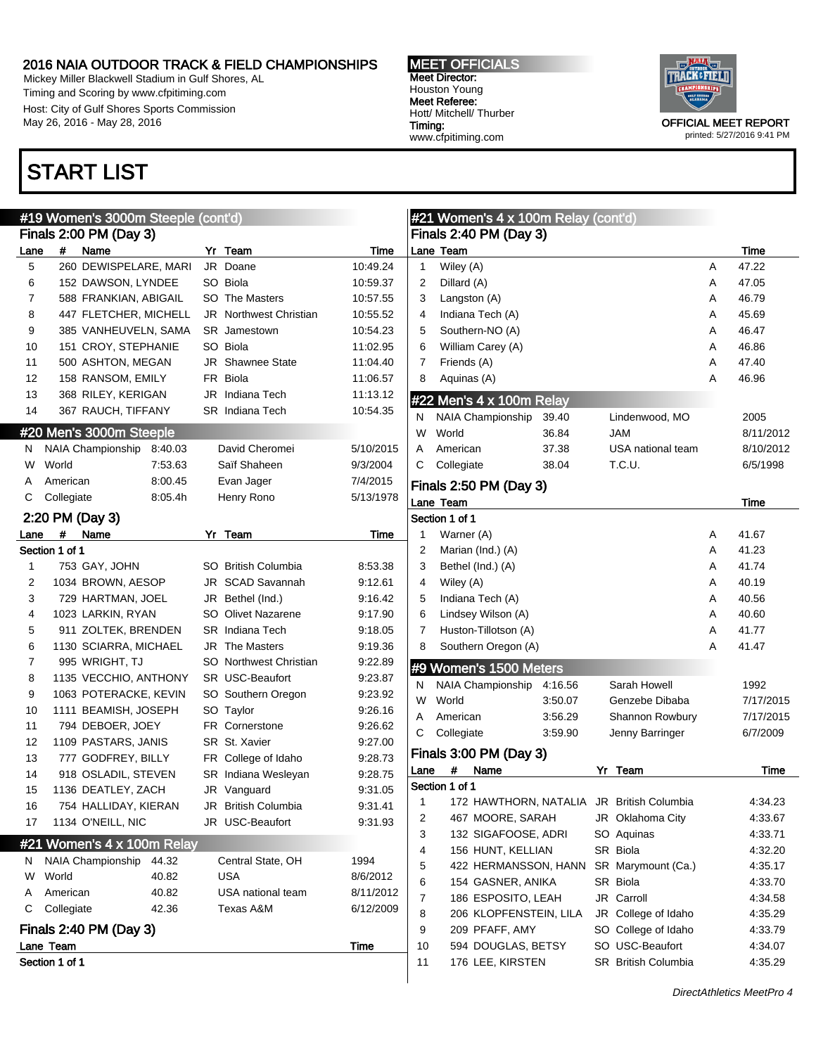Mickey Miller Blackwell Stadium in Gulf Shores, AL Timing and Scoring by www.cfpitiming.com Host: City of Gulf Shores Sports Commission May 26, 2016 - May 28, 2016

## START LIST

#### MEET OFFICIALS Meet Director: Houston Young Meet Referee: Hott/ Mitchell/ Thurber Timing: www.cfpitiming.com



printed: 5/27/2016 9:41 PM

|      |                             | #19 Women's 3000m Steeple (cont'd) |         |    |                               |           |
|------|-----------------------------|------------------------------------|---------|----|-------------------------------|-----------|
|      |                             | Finals 2:00 PM (Day 3)             |         |    |                               |           |
| Lane | #                           | Name                               |         |    | Yr Team                       | Time      |
| 5    |                             | 260 DEWISPELARE, MARI              |         |    | JR Doane                      | 10:49.24  |
| 6    |                             | 152 DAWSON, LYNDEE                 |         |    | SO Biola                      | 10:59.37  |
| 7    |                             | 588 FRANKIAN, ABIGAIL              |         |    | SO The Masters                | 10:57.55  |
| 8    |                             | 447 FLETCHER, MICHELL              |         |    | <b>JR</b> Northwest Christian | 10:55.52  |
| 9    |                             | 385 VANHEUVELN, SAMA               |         |    | <b>SR</b> Jamestown           | 10:54.23  |
| 10   |                             | 151 CROY, STEPHANIE                |         |    | SO Biola                      | 11:02.95  |
| 11   |                             | 500 ASHTON, MEGAN                  |         |    | JR Shawnee State              | 11:04.40  |
| 12   |                             | 158 RANSOM, EMILY                  |         |    | FR Biola                      | 11:06.57  |
| 13   |                             | 368 RILEY, KERIGAN                 |         |    | JR Indiana Tech               | 11:13.12  |
| 14   |                             | 367 RAUCH, TIFFANY                 |         |    | <b>SR</b> Indiana Tech        | 10:54.35  |
|      |                             | #20 Men's 3000m Steeple            |         |    |                               |           |
| Ν    |                             | NAIA Championship                  | 8:40.03 |    | David Cheromei                | 5/10/2015 |
| W    | World                       |                                    | 7:53.63 |    | Saïf Shaheen                  | 9/3/2004  |
| A    | American                    |                                    | 8:00.45 |    | Evan Jager                    | 7/4/2015  |
| С    | Collegiate                  |                                    | 8:05.4h |    | Henry Rono                    | 5/13/1978 |
|      |                             | 2:20 PM (Day 3)                    |         |    |                               |           |
| Lane | #                           | Name                               |         | Yr | Team                          | Time      |
|      | Section 1 of 1              |                                    |         |    |                               |           |
| 1    |                             | 753 GAY, JOHN                      |         |    | SO British Columbia           | 8:53.38   |
| 2    |                             | 1034 BROWN, AESOP                  |         |    | JR SCAD Savannah              | 9:12.61   |
| 3    |                             | 729 HARTMAN, JOEL                  |         |    | JR Bethel (Ind.)              | 9:16.42   |
| 4    |                             | 1023 LARKIN, RYAN                  |         |    | <b>SO</b> Olivet Nazarene     | 9:17.90   |
| 5    |                             | 911 ZOLTEK, BRENDEN                |         |    | <b>SR</b> Indiana Tech        | 9:18.05   |
| 6    |                             | 1130 SCIARRA, MICHAEL              |         |    | JR The Masters                | 9:19.36   |
| 7    |                             | 995 WRIGHT, TJ                     |         |    | SO Northwest Christian        | 9:22.89   |
| 8    |                             | 1135 VECCHIO, ANTHONY              |         |    | SR USC-Beaufort               | 9:23.87   |
| 9    |                             | 1063 POTERACKE, KEVIN              |         |    | SO Southern Oregon            | 9:23.92   |
| 10   |                             | 1111 BEAMISH, JOSEPH               |         |    | SO Taylor                     | 9:26.16   |
| 11   |                             | 794 DEBOER, JOEY                   |         |    | <b>FR</b> Cornerstone         | 9:26.62   |
| 12   |                             | 1109 PASTARS, JANIS                |         |    | SR St. Xavier                 | 9:27.00   |
| 13   |                             | 777 GODFREY, BILLY                 |         |    | FR College of Idaho           | 9:28.73   |
| 14   |                             | 918 OSLADIL, STEVEN                |         |    | SR Indiana Wesleyan           | 9:28.75   |
| 15   |                             | 1136 DEATLEY, ZACH                 |         |    | JR Vanguard                   | 9:31.05   |
| 16   |                             | 754 HALLIDAY, KIERAN               |         |    | JR British Columbia           | 9:31.41   |
| 17   |                             | 1134 O'NEILL, NIC                  |         |    | JR USC-Beaufort               | 9:31.93   |
|      |                             | #21 Women's 4 x 100m Relay         |         |    |                               |           |
| N    |                             | NAIA Championship                  | 44.32   |    | Central State, OH             | 1994      |
| W    | World                       |                                    | 40.82   |    | USA                           | 8/6/2012  |
| A    | American                    |                                    | 40.82   |    | USA national team             | 8/11/2012 |
| С    | Collegiate                  |                                    | 42.36   |    | Texas A&M                     | 6/12/2009 |
|      |                             |                                    |         |    |                               |           |
|      |                             | Finals 2:40 PM (Day 3)             |         |    |                               |           |
|      | Lane Team<br>Section 1 of 1 |                                    |         |    |                               | Time      |
|      |                             |                                    |         |    |                               |           |

|      | #21 Women's 4 x 100m Relay (cont'd)       |         |                     |   |           |
|------|-------------------------------------------|---------|---------------------|---|-----------|
|      | Finals 2:40 PM (Day 3)                    |         |                     |   |           |
|      | Lane Team                                 |         |                     |   | Time      |
| 1    | Wiley (A)                                 |         |                     | A | 47.22     |
| 2    | Dillard (A)                               |         |                     | A | 47.05     |
| 3    | Langston (A)                              |         |                     | A | 46.79     |
| 4    | Indiana Tech (A)                          |         |                     | A | 45.69     |
| 5    | Southern-NO (A)                           |         |                     | A | 46.47     |
| 6    | William Carey (A)                         |         |                     | A | 46.86     |
| 7    | Friends (A)                               |         |                     | A | 47.40     |
| 8    | Aquinas (A)                               |         |                     | Α | 46.96     |
|      | #22 Men's 4 x 100m Relay                  |         |                     |   |           |
| N    | NAIA Championship                         | 39.40   | Lindenwood, MO      |   | 2005      |
| W    | World                                     | 36.84   | <b>MAL</b>          |   | 8/11/2012 |
| A    | American                                  | 37.38   | USA national team   |   | 8/10/2012 |
| С    | Collegiate                                | 38.04   | T.C.U.              |   | 6/5/1998  |
|      | Finals 2:50 PM (Day 3)                    |         |                     |   |           |
|      | Lane Team                                 |         |                     |   | Time      |
|      | Section 1 of 1                            |         |                     |   |           |
| 1    | Warner (A)                                |         |                     | A | 41.67     |
| 2    | Marian (Ind.) (A)                         |         |                     | A | 41.23     |
| 3    | Bethel (Ind.) (A)                         |         |                     | A | 41.74     |
| 4    | Wiley (A)                                 |         |                     | A | 40.19     |
| 5    | Indiana Tech (A)                          |         |                     | A | 40.56     |
| 6    | Lindsey Wilson (A)                        |         |                     | A | 40.60     |
| 7    | Huston-Tillotson (A)                      |         |                     | Α | 41.77     |
| 8    | Southern Oregon (A)                       |         |                     | A | 41.47     |
|      | #9 Women's 1500 Meters                    |         |                     |   |           |
| N    | NAIA Championship                         | 4:16.56 | Sarah Howell        |   | 1992      |
| W    | World                                     | 3:50.07 | Genzebe Dibaba      |   | 7/17/2015 |
| A    | American                                  | 3:56.29 | Shannon Rowbury     |   | 7/17/2015 |
| С    | Collegiate                                | 3.59.90 | Jenny Barringer     |   | 6/7/2009  |
|      | Finals 3:00 PM (Day 3)                    |         |                     |   |           |
| Lane | Name<br>#                                 |         | Yr Team             |   | Time      |
|      | Section 1 of 1                            |         |                     |   |           |
| 1    | 172 HAWTHORN, NATALIA JR British Columbia |         |                     |   | 4:34.23   |
| 2    | 467 MOORE, SARAH                          |         | JR Oklahoma City    |   | 4:33.67   |
| 3    | 132 SIGAFOOSE, ADRI                       |         | SO Aquinas          |   | 4:33.71   |
| 4    | 156 HUNT, KELLIAN                         |         | SR Biola            |   | 4:32.20   |
| 5    | 422 HERMANSSON, HANN                      |         | SR Marymount (Ca.)  |   | 4:35.17   |
| 6    | 154 GASNER, ANIKA                         |         | SR Biola            |   | 4:33.70   |
| 7    | 186 ESPOSITO, LEAH                        |         | JR Carroll          |   | 4.34.58   |
| 8    | 206 KLOPFENSTEIN, LILA                    |         | JR College of Idaho |   | 4:35.29   |
| 9    | 209 PFAFF, AMY                            |         | SO College of Idaho |   | 4:33.79   |
| 10   | 594 DOUGLAS, BETSY                        |         | SO USC-Beaufort     |   | 4:34.07   |
| 11   | 176 LEE, KIRSTEN                          |         | SR British Columbia |   | 4:35.29   |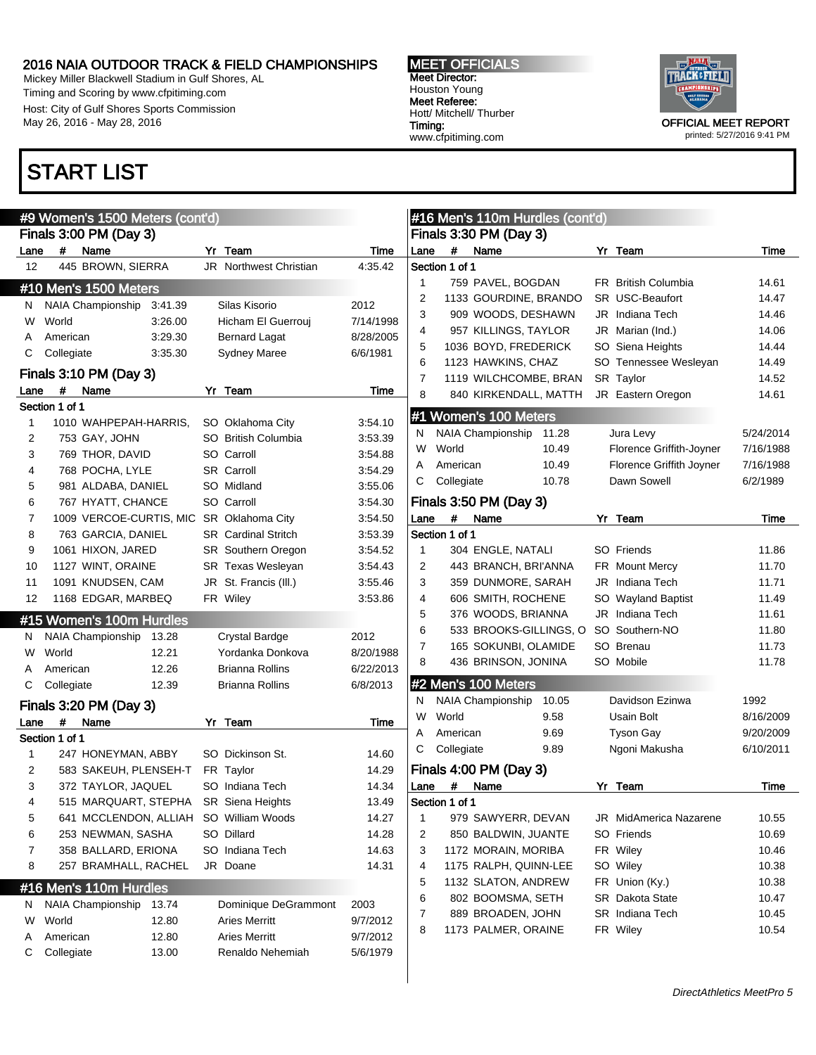Mickey Miller Blackwell Stadium in Gulf Shores, AL Timing and Scoring by www.cfpitiming.com Host: City of Gulf Shores Sports Commission May 26, 2016 - May 28, 2016

#### MEET OFFICIALS Meet Director: Houston Young Meet Referee: Hott/ Mitchell/ Thurber Timing: www.cfpitiming.com



printed: 5/27/2016 9:41 PM

## START LIST

|                   | #9 Women's 1500 Meters (cont'd)             |                            |                | #16 Men's 110m Hurdles (cont'd)   |                            |           |
|-------------------|---------------------------------------------|----------------------------|----------------|-----------------------------------|----------------------------|-----------|
|                   | Finals 3:00 PM (Day 3)                      |                            |                | Finals 3:30 PM (Day 3)            |                            |           |
| Lane              | #<br>Name                                   | Yr Team                    | Time           | $\#$<br>Lane<br>Name              | Yr Team                    | Time      |
| $12 \overline{ }$ | 445 BROWN, SIERRA                           | JR Northwest Christian     | 4:35.42        | Section 1 of 1                    |                            |           |
|                   | #10 Men's 1500 Meters                       |                            |                | 759 PAVEL, BOGDAN                 | <b>FR</b> British Columbia | 14.61     |
| N                 | <b>NAIA Championship</b><br>3:41.39         | Silas Kisorio              | 2012           | 1133 GOURDINE, BRANDO             | <b>SR USC-Beaufort</b>     | 14.47     |
| W                 | World<br>3:26.00                            | Hicham El Guerrouj         | 7/14/1998      | 909 WOODS, DESHAWN                | JR Indiana Tech            | 14.46     |
| Α                 | 3:29.30<br>American                         | <b>Bernard Lagat</b>       | 8/28/2005      | 957 KILLINGS, TAYLOR              | JR Marian (Ind.)           | 14.06     |
| С                 | Collegiate<br>3:35.30                       | <b>Sydney Maree</b>        | 6/6/1981       | 1036 BOYD, FREDERICK              | SO Siena Heights           | 14.44     |
|                   | Finals 3:10 PM (Day 3)                      |                            |                | 1123 HAWKINS, CHAZ                | SO Tennessee Wesleyan      | 14.49     |
| Lane              | #<br>Name                                   | Yr Team                    | Time           | 1119 WILCHCOMBE, BRAN             | SR Taylor                  | 14.52     |
|                   | Section 1 of 1                              |                            |                | 840 KIRKENDALL, MATTH             | JR Eastern Oregon          | 14.61     |
| 1                 | 1010 WAHPEPAH-HARRIS,                       | SO Oklahoma City           | 3:54.10        | #1 Women's 100 Meters             |                            |           |
| 2                 | 753 GAY, JOHN                               | SO British Columbia        | 3:53.39        | <b>NAIA Championship</b><br>11.28 | Jura Levy                  | 5/24/2014 |
| 3                 | 769 THOR, DAVID                             | SO Carroll                 | 3:54.88        | World<br>10.49<br>W               | Florence Griffith-Joyner   | 7/16/1988 |
| 4                 | 768 POCHA, LYLE                             | <b>SR</b> Carroll          | 3:54.29        | 10.49<br>American                 | Florence Griffith Joyner   | 7/16/1988 |
| 5                 | 981 ALDABA, DANIEL                          | SO Midland                 | 3:55.06        | Collegiate<br>10.78               | Dawn Sowell                | 6/2/1989  |
| 6                 | 767 HYATT, CHANCE                           | SO Carroll                 | 3:54.30        | Finals 3:50 PM (Day 3)            |                            |           |
| 7                 | 1009 VERCOE-CURTIS, MIC                     | SR Oklahoma City           | 3:54.50        | #<br>Name<br>Lane                 | Yr Team                    | Time      |
| 8                 | 763 GARCIA, DANIEL                          | <b>SR</b> Cardinal Stritch | 3:53.39        | Section 1 of 1                    |                            |           |
| 9                 | 1061 HIXON, JARED                           | <b>SR</b> Southern Oregon  | 3:54.52        | 304 ENGLE, NATALI                 | SO Friends                 | 11.86     |
| 10                | 1127 WINT, ORAINE                           | SR Texas Wesleyan          | 3:54.43        | 2<br>443 BRANCH, BRI'ANNA         | <b>FR</b> Mount Mercy      | 11.70     |
| 11                | 1091 KNUDSEN, CAM                           | JR St. Francis (III.)      | 3:55.46        | 3<br>359 DUNMORE, SARAH           | JR Indiana Tech            | 11.71     |
| 12                | 1168 EDGAR, MARBEQ                          | FR Wiley                   | 3:53.86        | 4<br>606 SMITH, ROCHENE           | SO Wayland Baptist         | 11.49     |
|                   | #15 Women's 100m Hurdles                    |                            |                | 376 WOODS, BRIANNA                | JR Indiana Tech            | 11.61     |
| N                 | NAIA Championship<br>13.28                  | <b>Crystal Bardge</b>      | 2012           | 533 BROOKS-GILLINGS, O            | SO Southern-NO             | 11.80     |
| W                 | 12.21<br>World                              | Yordanka Donkova           | 8/20/1988      | 165 SOKUNBI, OLAMIDE              | SO Brenau                  | 11.73     |
| A                 | 12.26<br>American                           | Brianna Rollins            | 6/22/2013      | 436 BRINSON, JONINA               | SO Mobile                  | 11.78     |
| С                 | Collegiate<br>12.39                         | <b>Brianna Rollins</b>     | 6/8/2013       | #2 Men's 100 Meters               |                            |           |
|                   |                                             |                            |                | <b>NAIA Championship</b><br>10.05 | Davidson Ezinwa            | 1992      |
|                   | Finals 3:20 PM (Day 3)                      |                            |                | World<br>9.58<br>W                | Usain Bolt                 | 8/16/2009 |
| Lane              | #<br>Name                                   | Yr Team                    | Time           | 9.69<br>American                  | <b>Tyson Gay</b>           | 9/20/2009 |
|                   | Section 1 of 1                              | SO Dickinson St.           |                | Collegiate<br>9.89                | Ngoni Makusha              | 6/10/2011 |
| 1<br>2            | 247 HONEYMAN, ABBY<br>583 SAKEUH, PLENSEH-T | FR Taylor                  | 14.60          | Finals 4:00 PM (Day 3)            |                            |           |
| 3                 | 372 TAYLOR, JAQUEL                          | SO Indiana Tech            | 14.29<br>14.34 | #<br>Name<br>Lane                 | Yr Team                    | Time      |
| 4                 | 515 MARQUART, STEPHA                        | <b>SR</b> Siena Heights    | 13.49          | Section 1 of 1                    |                            |           |
| 5                 | 641 MCCLENDON, ALLIAH SO William Woods      |                            | 14.27          | 979 SAWYERR, DEVAN                | JR MidAmerica Nazarene     | 10.55     |
| 6                 | 253 NEWMAN, SASHA                           | SO Dillard                 | 14.28          | 2<br>850 BALDWIN, JUANTE          | SO Friends                 | 10.69     |
| 7                 | 358 BALLARD, ERIONA                         | SO Indiana Tech            | 14.63          | 1172 MORAIN, MORIBA               | FR Wiley                   | 10.46     |
| 8                 | 257 BRAMHALL, RACHEL                        | JR Doane                   | 14.31          | 1175 RALPH, QUINN-LEE             | SO Wiley                   | 10.38     |
|                   |                                             |                            |                | 1132 SLATON, ANDREW               | FR Union (Ky.)             | 10.38     |
|                   | #16 Men's 110m Hurdles                      |                            |                | 802 BOOMSMA, SETH                 | SR Dakota State            | 10.47     |
| N                 | NAIA Championship<br>13.74                  | Dominique DeGrammont       | 2003           | 889 BROADEN, JOHN                 | SR Indiana Tech            | 10.45     |
| W                 | World<br>12.80                              | <b>Aries Merritt</b>       | 9/7/2012       | 1173 PALMER, ORAINE               | FR Wiley                   | 10.54     |
| Α                 | 12.80<br>American                           | <b>Aries Merritt</b>       | 9/7/2012       |                                   |                            |           |
| С                 | Collegiate<br>13.00                         | Renaldo Nehemiah           | 5/6/1979       |                                   |                            |           |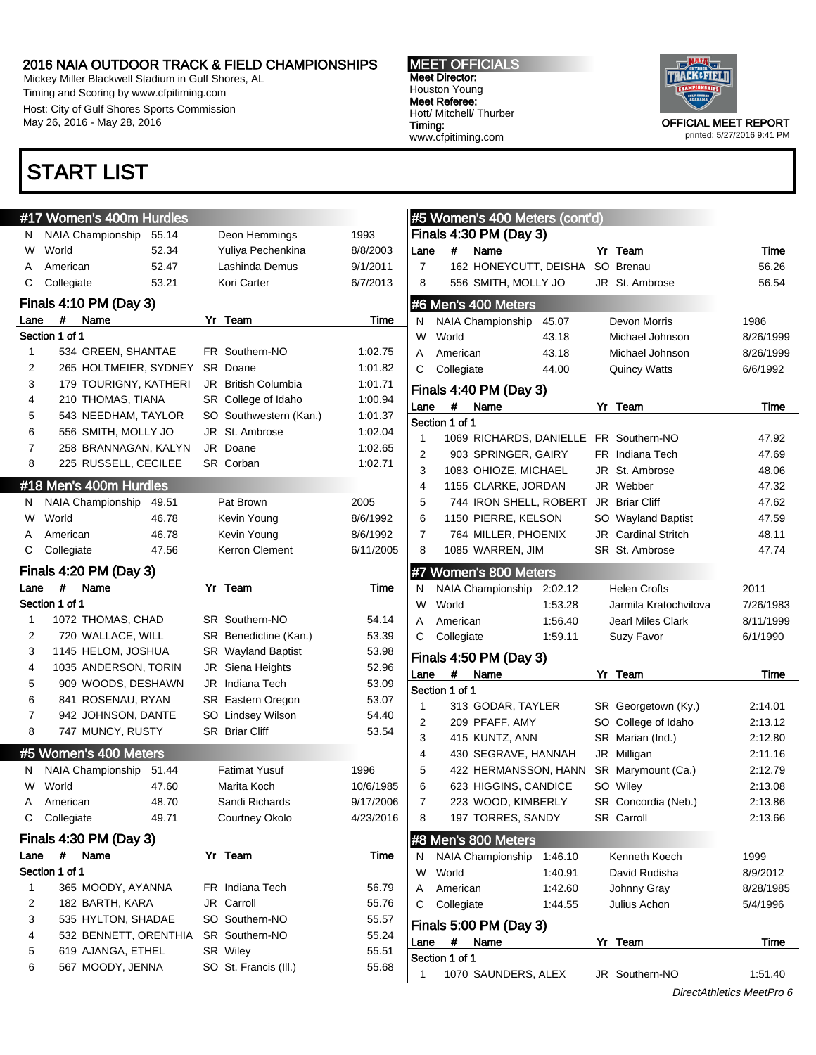Mickey Miller Blackwell Stadium in Gulf Shores, AL Timing and Scoring by www.cfpitiming.com Host: City of Gulf Shores Sports Commission May 26, 2016 - May 28, 2016

## START LIST

#### MEET OFFICIALS Meet Director: Houston Young Meet Referee: Hott/ Mitchell/ Thurber Timing: www.cfpitiming.com



printed: 5/27/2016 9:41 PM

|                | #17 Women's 400m Hurdles          |                        |           |                |                | #5 Women's 400 Meters (cont'd) |         |                            |           |
|----------------|-----------------------------------|------------------------|-----------|----------------|----------------|--------------------------------|---------|----------------------------|-----------|
| N.             | <b>NAIA Championship</b><br>55.14 | Deon Hemmings          | 1993      |                |                | Finals 4:30 PM (Day 3)         |         |                            |           |
| W              | 52.34<br>World                    | Yuliya Pechenkina      | 8/8/2003  | Lane           | #              | Name                           |         | Yr Team                    | Time      |
| A              | 52.47<br>American                 | Lashinda Demus         | 9/1/2011  | $\overline{7}$ |                | 162 HONEYCUTT, DEISHA          |         | SO Brenau                  | 56.26     |
| С              | Collegiate<br>53.21               | Kori Carter            | 6/7/2013  | 8              |                | 556 SMITH, MOLLY JO            |         | JR St. Ambrose             | 56.54     |
|                | Finals 4:10 PM (Day 3)            |                        |           |                |                | #6 Men's 400 Meters            |         |                            |           |
| Lane           | #<br>Name                         | Yr Team                | Time      | N              |                | NAIA Championship              | 45.07   | Devon Morris               | 1986      |
|                | Section 1 of 1                    |                        |           | W              | World          |                                | 43.18   | Michael Johnson            | 8/26/1999 |
| 1              | 534 GREEN, SHANTAE                | FR Southern-NO         | 1:02.75   | A              | American       |                                | 43.18   | Michael Johnson            | 8/26/1999 |
| 2              | 265 HOLTMEIER, SYDNEY             | SR Doane               | 1:01.82   | C              | Collegiate     |                                | 44.00   | <b>Quincy Watts</b>        | 6/6/1992  |
| 3              | 179 TOURIGNY, KATHERI             | JR British Columbia    | 1:01.71   |                |                | Finals 4:40 PM (Day 3)         |         |                            |           |
| 4              | 210 THOMAS, TIANA                 | SR College of Idaho    | 1:00.94   | Lane           | #              | Name                           |         | Yr Team                    | Time      |
| 5              | 543 NEEDHAM, TAYLOR               | SO Southwestern (Kan.) | 1:01.37   |                | Section 1 of 1 |                                |         |                            |           |
| 6              | 556 SMITH, MOLLY JO               | JR St. Ambrose         | 1:02.04   | 1              |                | 1069 RICHARDS, DANIELLE        |         | FR Southern-NO             | 47.92     |
| $\overline{7}$ | 258 BRANNAGAN, KALYN              | JR Doane               | 1:02.65   | 2              |                | 903 SPRINGER, GAIRY            |         | FR Indiana Tech            | 47.69     |
| 8              | 225 RUSSELL, CECILEE              | SR Corban              | 1:02.71   | 3              |                | 1083 OHIOZE, MICHAEL           |         | JR St. Ambrose             | 48.06     |
|                | #18 Men's 400m Hurdles            |                        |           | $\overline{4}$ |                | 1155 CLARKE, JORDAN            |         | JR Webber                  | 47.32     |
| N.             | NAIA Championship<br>49.51        | Pat Brown              | 2005      | 5              |                | 744 IRON SHELL, ROBERT         |         | JR Briar Cliff             | 47.62     |
| W              | World<br>46.78                    | Kevin Young            | 8/6/1992  | 6              |                | 1150 PIERRE, KELSON            |         | SO Wayland Baptist         | 47.59     |
|                | 46.78<br>American                 | Kevin Young            | 8/6/1992  | 7              |                | 764 MILLER, PHOENIX            |         | <b>JR</b> Cardinal Stritch | 48.11     |
| С              | Collegiate<br>47.56               | Kerron Clement         | 6/11/2005 | 8              |                | 1085 WARREN, JIM               |         | SR St. Ambrose             | 47.74     |
|                | Finals 4:20 PM (Day 3)            |                        |           |                |                | #7 Women's 800 Meters          |         |                            |           |
| Lane           | #<br>Name                         | Yr Team                | Time      | N              |                | NAIA Championship              | 2:02.12 | <b>Helen Crofts</b>        | 2011      |
|                | Section 1 of 1                    |                        |           | W              | World          |                                | 1:53.28 | Jarmila Kratochvilova      | 7/26/1983 |
| 1              | 1072 THOMAS, CHAD                 | SR Southern-NO         | 54.14     | A              | American       |                                | 1:56.40 | <b>Jearl Miles Clark</b>   | 8/11/1999 |
| 2              | 720 WALLACE, WILL                 | SR Benedictine (Kan.)  | 53.39     | C              | Collegiate     |                                | 1:59.11 | Suzy Favor                 | 6/1/1990  |
| 3              | 1145 HELOM, JOSHUA                | SR Wayland Baptist     | 53.98     |                |                |                                |         |                            |           |
| 4              | 1035 ANDERSON, TORIN              | JR Siena Heights       | 52.96     |                |                | Finals 4:50 PM (Day 3)         |         |                            |           |
| 5              | 909 WOODS, DESHAWN                | JR Indiana Tech        | 53.09     | Lane           | #              | Name                           |         | Yr Team                    | Time      |
| 6              | 841 ROSENAU, RYAN                 | SR Eastern Oregon      | 53.07     |                | Section 1 of 1 |                                |         |                            |           |
| 7              | 942 JOHNSON, DANTE                | SO Lindsey Wilson      | 54.40     | 1              |                | 313 GODAR, TAYLER              |         | SR Georgetown (Ky.)        | 2:14.01   |
| 8              | 747 MUNCY, RUSTY                  | SR Briar Cliff         | 53.54     | 2              |                | 209 PFAFF, AMY                 |         | SO College of Idaho        | 2:13.12   |
|                |                                   |                        |           | 3              |                | 415 KUNTZ, ANN                 |         | SR Marian (Ind.)           | 2:12.80   |
|                | #5 Women's 400 Meters             |                        |           | 4              |                | 430 SEGRAVE, HANNAH            |         | JR Milligan                | 2:11.16   |
| N.             | NAIA Championship<br>51.44        | <b>Fatimat Yusuf</b>   | 1996      | 5              |                | 422 HERMANSSON, HANN           |         | SR Marymount (Ca.)         | 2:12.79   |
| W              | World<br>47.60                    | Marita Koch            | 10/6/1985 | 6              |                | 623 HIGGINS, CANDICE           |         | SO Wiley                   | 2:13.08   |
| A              | 48.70<br>American                 | Sandi Richards         | 9/17/2006 | $\overline{7}$ |                | 223 WOOD, KIMBERLY             |         | SR Concordia (Neb.)        | 2:13.86   |
| С              | Collegiate<br>49.71               | Courtney Okolo         | 4/23/2016 | 8              |                | 197 TORRES, SANDY              |         | SR Carroll                 | 2:13.66   |
|                | Finals 4:30 PM (Day 3)            |                        |           |                |                | #8 Men's 800 Meters            |         |                            |           |
| Lane           | # Name                            | Yr Team                | Time      | N              |                | NAIA Championship              | 1:46.10 | Kenneth Koech              | 1999      |
|                | Section 1 of 1                    |                        |           | W              | World          |                                | 1:40.91 | David Rudisha              | 8/9/2012  |
| 1              | 365 MOODY, AYANNA                 | FR Indiana Tech        | 56.79     | Α              | American       |                                | 1:42.60 | Johnny Gray                | 8/28/1985 |
| 2              | 182 BARTH, KARA                   | JR Carroll             | 55.76     | C              | Collegiate     |                                | 1:44.55 | Julius Achon               | 5/4/1996  |
| 3              | 535 HYLTON, SHADAE                | SO Southern-NO         | 55.57     |                |                | Finals 5:00 PM (Day 3)         |         |                            |           |
| 4              | 532 BENNETT, ORENTHIA             | SR Southern-NO         | 55.24     | Lane           | #              | Name                           |         | Yr Team                    | Time      |
| 5              | 619 AJANGA, ETHEL                 | SR Wiley               | 55.51     |                | Section 1 of 1 |                                |         |                            |           |
| 6              | 567 MOODY, JENNA                  | SO St. Francis (III.)  | 55.68     | 1              |                | 1070 SAUNDERS, ALEX            |         | JR Southern-NO             | 1:51.40   |
|                |                                   |                        |           |                |                |                                |         |                            |           |

#### DirectAthletics MeetPro 6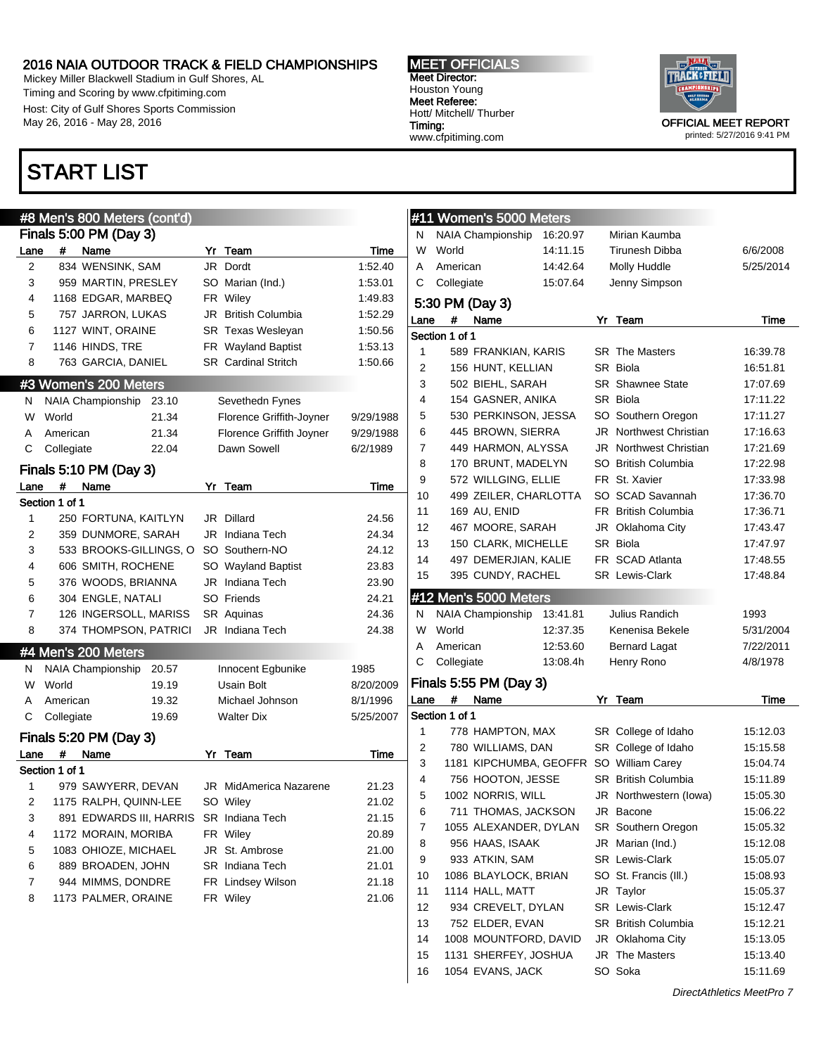Mickey Miller Blackwell Stadium in Gulf Shores, AL Timing and Scoring by www.cfpitiming.com Host: City of Gulf Shores Sports Commission May 26, 2016 - May 28, 2016

## START LIST

## #8 Men's 800 Meters (cont'd) Finals 5:00 PM (Day 3) Lane # Name Yr Team Time 2 834 WENSINK, SAM JR Dordt 1:52.40 3 959 MARTIN, PRESLEY SO Marian (Ind.) 1:53.01 4 1168 EDGAR, MARBEQ FR Wiley 1:49.83 5 757 JARRON, LUKAS JR British Columbia 1:52.29 6 1127 WINT, ORAINE SR Texas Wesleyan 1:50.56 7 1146 HINDS, TRE FR Wayland Baptist 1:53.13 8 763 GARCIA, DANIEL SR Cardinal Stritch 1:50.66 #3 Women's 200 Meters N NAIA Championship 23.10 Sevethedn Fynes W World 21.34 Florence Griffith-Joyner 9/29/1988 A American 21.34 Florence Griffith Joyner 9/29/1988 C Collegiate 22.04 Dawn Sowell 6/2/1989 Finals 5:10 PM (Day 3) Lane # Name Yr Team Time Section 1 of 1 1 250 FORTUNA, KAITLYN JR Dillard 24.56 2 359 DUNMORE, SARAH JR Indiana Tech 24.34 3 533 BROOKS-GILLINGS, O SO Southern-NO 24.12 4 606 SMITH, ROCHENE SO Wayland Baptist 23.83 5 376 WOODS, BRIANNA JR Indiana Tech 23.90 6 304 ENGLE, NATALI SO Friends 24.21 7 126 INGERSOLL, MARISS SR Aquinas 24.36 8 374 THOMPSON, PATRICI JR Indiana Tech 24.38 #4 Men's 200 Meters N NAIA Championship 20.57 Innocent Egbunike 1985 W World 19.19 Usain Bolt 8/20/2009 A American 19.32 Michael Johnson 8/1/1996 C Collegiate 19.69 Walter Dix 5/25/2007 Finals 5:20 PM (Day 3) Lane # Name Yr Team Time Section 1 of 1 1 979 SAWYERR, DEVAN JR MidAmerica Nazarene 21.23 2 1175 RALPH, QUINN-LEE SO Wiley 21.02 3 891 EDWARDS III, HARRIS SR Indiana Tech 21.15 4 1172 MORAIN, MORIBA FR Wiley 20.89 5 1083 OHIOZE, MICHAEL JR St. Ambrose 21.00 6 889 BROADEN, JOHN SR Indiana Tech 21.01 7 944 MIMMS, DONDRE FR Lindsey Wilson 21.18 8 1173 PALMER, ORAINE FR Wiley 21.06

MEET OFFICIALS Meet Director: Houston Young Meet Referee: Hott/ Mitchell/ Thurber Timing: www.cfpitiming.com



printed: 5/27/2016 9:41 PM

|                |                | #11 Women's 5000 Meters                  |          |    |                                         |                      |
|----------------|----------------|------------------------------------------|----------|----|-----------------------------------------|----------------------|
| N              |                | <b>NAIA Championship</b>                 | 16:20.97 |    | Mirian Kaumba                           |                      |
| W              | World          |                                          | 14:11.15 |    | Tirunesh Dibba                          | 6/6/2008             |
| A              | American       |                                          | 14:42.64 |    | Molly Huddle                            | 5/25/2014            |
| С              | Collegiate     |                                          | 15:07.64 |    | Jenny Simpson                           |                      |
|                |                | 5:30 PM (Day 3)                          |          |    |                                         |                      |
| Lane           | #              | Name                                     |          | Yr | Team                                    | Time                 |
|                | Section 1 of 1 |                                          |          |    |                                         |                      |
| $\mathbf{1}$   |                | 589 FRANKIAN, KARIS                      |          |    | <b>SR</b> The Masters                   | 16:39.78             |
| $\overline{2}$ |                | 156 HUNT, KELLIAN                        |          |    | SR Biola                                | 16:51.81             |
| 3              |                | 502 BIEHL, SARAH                         |          |    | <b>SR</b> Shawnee State                 | 17:07.69             |
| 4              |                | 154 GASNER, ANIKA                        |          |    | SR Biola                                | 17:11.22             |
| 5              |                | 530 PERKINSON, JESSA                     |          |    | SO Southern Oregon                      | 17:11.27             |
| 6              |                | 445 BROWN, SIERRA                        |          |    | <b>JR</b> Northwest Christian           | 17:16.63             |
| 7              |                | 449 HARMON, ALYSSA                       |          |    | <b>JR</b> Northwest Christian           | 17:21.69             |
| 8              |                | 170 BRUNT, MADELYN                       |          |    | SO British Columbia                     | 17:22.98             |
| 9              |                | 572 WILLGING, ELLIE                      |          |    | FR St. Xavier                           | 17:33.98             |
| 10             |                | 499 ZEILER, CHARLOTTA                    |          |    | SO SCAD Savannah                        | 17:36.70             |
| 11             |                | 169 AU, ENID                             |          |    | FR British Columbia                     | 17:36.71             |
| 12             |                | 467 MOORE, SARAH                         |          |    | JR Oklahoma City                        | 17:43.47             |
| 13             |                | 150 CLARK, MICHELLE                      |          |    | SR Biola                                | 17:47.97             |
| 14             |                | 497 DEMERJIAN, KALIE                     |          |    | FR SCAD Atlanta                         | 17:48.55             |
| 15             |                | 395 CUNDY, RACHEL                        |          |    | <b>SR</b> Lewis-Clark                   | 17:48.84             |
|                |                | #12 Men's 5000 Meters                    |          |    |                                         |                      |
| N              |                |                                          |          |    |                                         |                      |
|                |                | NAIA Championship                        | 13:41.81 |    | Julius Randich                          | 1993                 |
| W              | World          |                                          | 12:37.35 |    | Kenenisa Bekele                         | 5/31/2004            |
| A              | American       |                                          | 12:53.60 |    | <b>Bernard Lagat</b>                    | 7/22/2011            |
| С              | Collegiate     |                                          | 13:08.4h |    | Henry Rono                              | 4/8/1978             |
|                |                | Finals 5:55 PM (Day 3)                   |          |    |                                         |                      |
| Lane           | #              | Name                                     |          |    | Yr Team                                 | Time                 |
|                | Section 1 of 1 |                                          |          |    |                                         |                      |
| 1              |                | 778 HAMPTON, MAX                         |          |    | SR College of Idaho                     | 15:12.03             |
| 2              |                | 780 WILLIAMS, DAN                        |          |    | SR College of Idaho                     | 15:15.58             |
| 3              |                |                                          |          |    | 1181 KIPCHUMBA, GEOFFR SO William Carey | 15:04.74             |
| 4              |                | 756 HOOTON, JESSE                        |          |    | SR British Columbia                     | 15:11.89             |
| 5              |                | 1002 NORRIS, WILL                        |          |    | JR Northwestern (lowa)                  | 15:05.30             |
| 6              |                | 711 THOMAS, JACKSON                      |          |    | JR Bacone                               | 15:06.22             |
| 7              |                | 1055 ALEXANDER, DYLAN                    |          |    | SR Southern Oregon                      | 15:05.32             |
| 8              |                | 956 HAAS, ISAAK                          |          |    | JR Marian (Ind.)                        | 15:12.08             |
| 9              |                | 933 ATKIN, SAM                           |          |    | SR Lewis-Clark                          | 15:05.07             |
| 10             |                | 1086 BLAYLOCK, BRIAN                     |          |    | SO St. Francis (III.)                   | 15:08.93             |
| 11             |                | 1114 HALL, MATT                          |          |    | JR Taylor                               | 15:05.37             |
| 12             |                | 934 CREVELT, DYLAN                       |          |    | SR Lewis-Clark                          | 15:12.47             |
| 13             |                | 752 ELDER, EVAN                          |          |    | SR British Columbia                     | 15:12.21             |
| 14             |                | 1008 MOUNTFORD, DAVID                    |          |    | JR Oklahoma City                        | 15:13.05             |
| 15<br>16       |                | 1131 SHERFEY, JOSHUA<br>1054 EVANS, JACK |          |    | JR The Masters<br>SO Soka               | 15:13.40<br>15:11.69 |